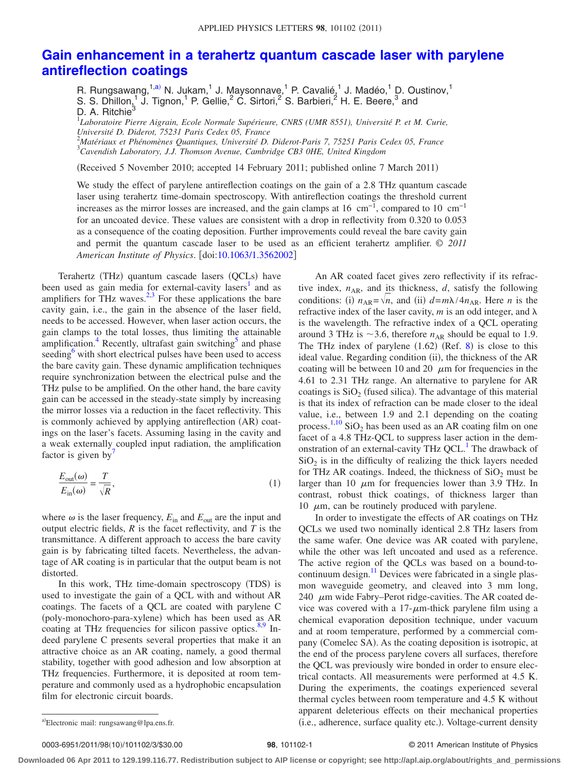## **[Gain enhancement in a terahertz quantum cascade laser with parylene](http://dx.doi.org/10.1063/1.3562002) [antireflection coatings](http://dx.doi.org/10.1063/1.3562002)**

R. Rungsawang,<sup>1[,a](#page-0-0))</sup> N. Jukam,<sup>1</sup> J. Maysonnave,<sup>1</sup> P. Cavalié,<sup>1</sup> J. Madéo,<sup>1</sup> D. Oustinov,<sup>1</sup>

S. S. Dhillon,<sup>1</sup> J. Tignon,<sup>1</sup> P. Gellie,<sup>2</sup> C. Sirtori,<sup>2</sup> S. Barbieri,<sup>2</sup> H. E. Beere,<sup>3</sup> and D. A. Ritchie $^3$ 

1 *Laboratoire Pierre Aigrain, Ecole Normale Supérieure, CNRS (UMR 8551), Université P. et M. Curie,*

*Université D. Diderot, 75231 Paris Cedex 05, France*

2 *Matériaux et Phénomènes Quantiques, Université D. Diderot-Paris 7, 75251 Paris Cedex 05, France* 3 *Cavendish Laboratory, J.J. Thomson Avenue, Cambridge CB3 0HE, United Kingdom*

(Received 5 November 2010; accepted 14 February 2011; published online 7 March 2011)

We study the effect of parylene antireflection coatings on the gain of a 2.8 THz quantum cascade laser using terahertz time-domain spectroscopy. With antireflection coatings the threshold current increases as the mirror losses are increased, and the gain clamps at 16  $\text{cm}^{-1}$ , compared to 10  $\text{cm}^{-1}$ for an uncoated device. These values are consistent with a drop in reflectivity from 0.320 to 0.053 as a consequence of the coating deposition. Further improvements could reveal the bare cavity gain and permit the quantum cascade laser to be used as an efficient terahertz amplifier. © *2011 American Institute of Physics*. doi[:10.1063/1.3562002](http://dx.doi.org/10.1063/1.3562002)

Terahertz (THz) quantum cascade lasers (QCLs) have been used as gain media for external-cavity lasers<sup>1</sup> and as amplifiers for THz waves. $2,3$  $2,3$  For these applications the bare cavity gain, i.e., the gain in the absence of the laser field, needs to be accessed. However, when laser action occurs, the gain clamps to the total losses, thus limiting the attainable amplification.<sup>4</sup> Recently, ultrafast gain switching $\delta$  and phase seeding<sup>6</sup> with short electrical pulses have been used to access the bare cavity gain. These dynamic amplification techniques require synchronization between the electrical pulse and the THz pulse to be amplified. On the other hand, the bare cavity gain can be accessed in the steady-state simply by increasing the mirror losses via a reduction in the facet reflectivity. This is commonly achieved by applying antireflection (AR) coatings on the laser's facets. Assuming lasing in the cavity and a weak externally coupled input radiation, the amplification factor is given by $\prime$ 

$$
\frac{E_{\text{out}}(\omega)}{E_{\text{in}}(\omega)} = \frac{T}{\sqrt{R}},\tag{1}
$$

where  $\omega$  is the laser frequency,  $E_{\text{in}}$  and  $E_{\text{out}}$  are the input and output electric fields, *R* is the facet reflectivity, and *T* is the transmittance. A different approach to access the bare cavity gain is by fabricating tilted facets. Nevertheless, the advantage of AR coating is in particular that the output beam is not distorted.

In this work, THz time-domain spectroscopy (TDS) is used to investigate the gain of a QCL with and without AR coatings. The facets of a QCL are coated with parylene C (poly-monochoro-para-xylene) which has been used as AR coating at THz frequencies for silicon passive optics. $8,9$  $8,9$  Indeed parylene C presents several properties that make it an attractive choice as an AR coating, namely, a good thermal stability, together with good adhesion and low absorption at THz frequencies. Furthermore, it is deposited at room temperature and commonly used as a hydrophobic encapsulation film for electronic circuit boards.

An AR coated facet gives zero reflectivity if its refractive index,  $n_{AR}$ , and its thickness,  $d$ , satisfy the following conditions: (i)  $n_{AR} = \sqrt{n}$ , and (ii)  $d = m\lambda/4n_{AR}$ . Here *n* is the refractive index of the laser cavity,  $m$  is an odd integer, and  $\lambda$ is the wavelength. The refractive index of a QCL operating around 3 THz is  $\sim$ 3.6, therefore  $n_{AR}$  should be equal to 1.9. The THz index of parylene  $(1.62)$  (Ref. [8](#page-2-7)) is close to this ideal value. Regarding condition (ii), the thickness of the AR coating will be between 10 and 20  $\mu$ m for frequencies in the 4.61 to 2.31 THz range. An alternative to parylene for AR coatings is  $SiO<sub>2</sub>$  (fused silica). The advantage of this material is that its index of refraction can be made closer to the ideal value, i.e., between 1.9 and 2.1 depending on the coating process.<sup>[1](#page-2-0)[,10](#page-2-9)</sup> SiO<sub>2</sub> has been used as an AR coating film on one facet of a 4.8 THz-QCL to suppress laser action in the demonstration of an external-cavity THz OCL.<sup>1</sup> The drawback of  $SiO<sub>2</sub>$  is in the difficulty of realizing the thick layers needed for THz AR coatings. Indeed, the thickness of  $SiO<sub>2</sub>$  must be larger than 10  $\mu$ m for frequencies lower than 3.9 THz. In contrast, robust thick coatings, of thickness larger than 10  $\mu$ m, can be routinely produced with parylene.

In order to investigate the effects of AR coatings on THz QCLs we used two nominally identical 2.8 THz lasers from the same wafer. One device was AR coated with parylene, while the other was left uncoated and used as a reference. The active region of the QCLs was based on a bound-tocontinuum design.<sup>11</sup> Devices were fabricated in a single plasmon waveguide geometry, and cleaved into 3 mm long, 240  $\mu$ m wide Fabry–Perot ridge-cavities. The AR coated device was covered with a  $17$ - $\mu$ m-thick parylene film using a chemical evaporation deposition technique, under vacuum and at room temperature, performed by a commercial company (Comelec SA). As the coating deposition is isotropic, at the end of the process parylene covers all surfaces, therefore the QCL was previously wire bonded in order to ensure electrical contacts. All measurements were performed at 4.5 K. During the experiments, the coatings experienced several thermal cycles between room temperature and 4.5 K without apparent deleterious effects on their mechanical properties a)Electronic mail: rungsawang@lpa.ens.fr. (i.e., adherence, surface quality etc.). Voltage-current density

0003-6951/2011/98(10)/101102/3/\$30.00

## 98, 101102-1 **30.000 CENTER 101102-1** © 2011 American Institute of Physics

**Downloaded 06 Apr 2011 to 129.199.116.77. Redistribution subject to AIP license or copyright; see http://apl.aip.org/about/rights\_and\_permissions**

<span id="page-0-0"></span>a)Electronic mail: rungsawang@lpa.ens.fr.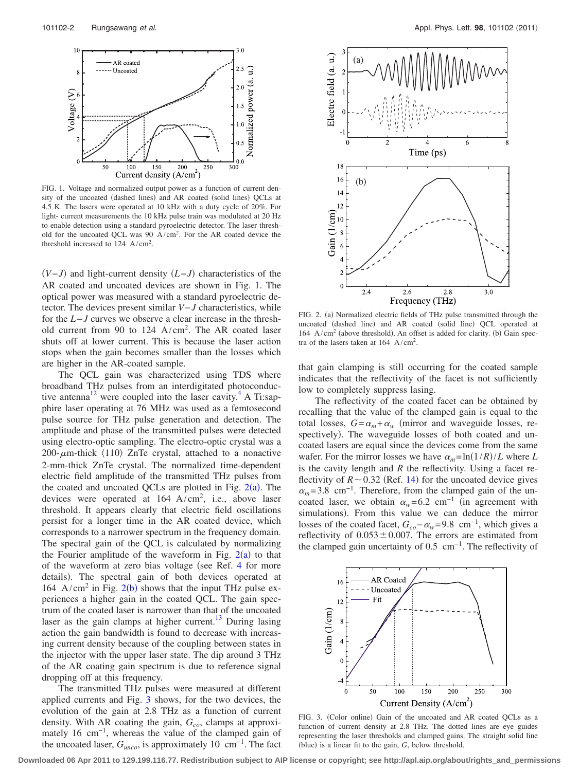<span id="page-1-0"></span>

FIG. 1. Voltage and normalized output power as a function of current density of the uncoated (dashed lines) and AR coated (solid lines) QCLs at 4.5 K. The lasers were operated at 10 kHz with a duty cycle of 20%. For light- current measurements the 10 kHz pulse train was modulated at 20 Hz to enable detection using a standard pyroelectric detector. The laser threshold for the uncoated QCL was 90  $A/cm^2$ . For the AR coated device the threshold increased to  $124 \text{ A/cm}^2$ .

 $(V-I)$  and light-current density  $(L-I)$  characteristics of the AR coated and uncoated devices are shown in Fig. [1.](#page-1-0) The optical power was measured with a standard pyroelectric detector. The devices present similar *V*−*J* characteristics, while for the *L*−*J* curves we observe a clear increase in the threshold current from 90 to  $124 \text{ A/cm}^2$ . The AR coated laser shuts off at lower current. This is because the laser action stops when the gain becomes smaller than the losses which are higher in the AR-coated sample.

The QCL gain was characterized using TDS where broadband THz pulses from an interdigitated photoconductive antenna<sup>12</sup> were coupled into the laser cavity.<sup>4</sup> A Ti:sapphire laser operating at 76 MHz was used as a femtosecond pulse source for THz pulse generation and detection. The amplitude and phase of the transmitted pulses were detected using electro-optic sampling. The electro-optic crystal was a 200- $\mu$ m-thick  $\langle 110 \rangle$  ZnTe crystal, attached to a nonactive 2-mm-thick ZnTe crystal. The normalized time-dependent electric field amplitude of the transmitted THz pulses from the coated and uncoated QCLs are plotted in Fig.  $2(a)$  $2(a)$ . The devices were operated at  $164 \text{ A/cm}^2$ , i.e., above laser threshold. It appears clearly that electric field oscillations persist for a longer time in the AR coated device, which corresponds to a narrower spectrum in the frequency domain. The spectral gain of the QCL is calculated by normalizing the Fourier amplitude of the waveform in Fig.  $2(a)$  $2(a)$  to that of the waveform at zero bias voltage (see Ref. [4](#page-2-3) for more details). The spectral gain of both devices operated at 164 A/cm<sup>[2](#page-1-1)</sup> in Fig. 2(b) shows that the input THz pulse experiences a higher gain in the coated QCL. The gain spectrum of the coated laser is narrower than that of the uncoated laser as the gain clamps at higher current.<sup>13</sup> During lasing action the gain bandwidth is found to decrease with increasing current density because of the coupling between states in the injector with the upper laser state. The dip around 3 THz of the AR coating gain spectrum is due to reference signal dropping off at this frequency.

The transmitted THz pulses were measured at different applied currents and Fig. [3](#page-1-2) shows, for the two devices, the evolution of the gain at 2.8 THz as a function of current density. With AR coating the gain,  $G_{co}$ , clamps at approximately 16 cm−1, whereas the value of the clamped gain of the uncoated laser,  $G_{unco}$ , is approximately 10 cm<sup>-1</sup>. The fact

<span id="page-1-1"></span>

FIG. 2. (a) Normalized electric fields of THz pulse transmitted through the uncoated (dashed line) and AR coated (solid line) QCL operated at  $164$  A/cm<sup>2</sup> (above threshold). An offset is added for clarity. (b) Gain spectra of the lasers taken at  $164 \text{ A/cm}^2$ .

that gain clamping is still occurring for the coated sample indicates that the reflectivity of the facet is not sufficiently low to completely suppress lasing.

The reflectivity of the coated facet can be obtained by recalling that the value of the clamped gain is equal to the total losses,  $G = \alpha_m + \alpha_w$  (mirror and waveguide losses, respectively. The waveguide losses of both coated and uncoated lasers are equal since the devices come from the same wafer. For the mirror losses we have  $\alpha_m = \ln(1/R)/L$  where *L* is the cavity length and  $R$  the reflectivity. Using a facet reflectivity of  $R \sim 0.32$  (Ref. [14](#page-2-13)) for the uncoated device gives  $\alpha_m$  = 3.8 cm<sup>-1</sup>. Therefore, from the clamped gain of the uncoated laser, we obtain  $\alpha_w$ =6.2 cm<sup>-1</sup> (in agreement with simulations). From this value we can deduce the mirror losses of the coated facet,  $G_{co}$ − $\alpha_w$ =9.8 cm<sup>-1</sup>, which gives a reflectivity of  $0.053 \pm 0.007$ . The errors are estimated from the clamped gain uncertainty of  $0.5 \text{ cm}^{-1}$ . The reflectivity of

<span id="page-1-2"></span>

FIG. 3. (Color online) Gain of the uncoated and AR coated QCLs as a function of current density at 2.8 THz. The dotted lines are eye guides representing the laser thresholds and clamped gains. The straight solid line (blue) is a linear fit to the gain, *G*, below threshold.

**Downloaded 06 Apr 2011 to 129.199.116.77. Redistribution subject to AIP license or copyright; see http://apl.aip.org/about/rights\_and\_permissions**